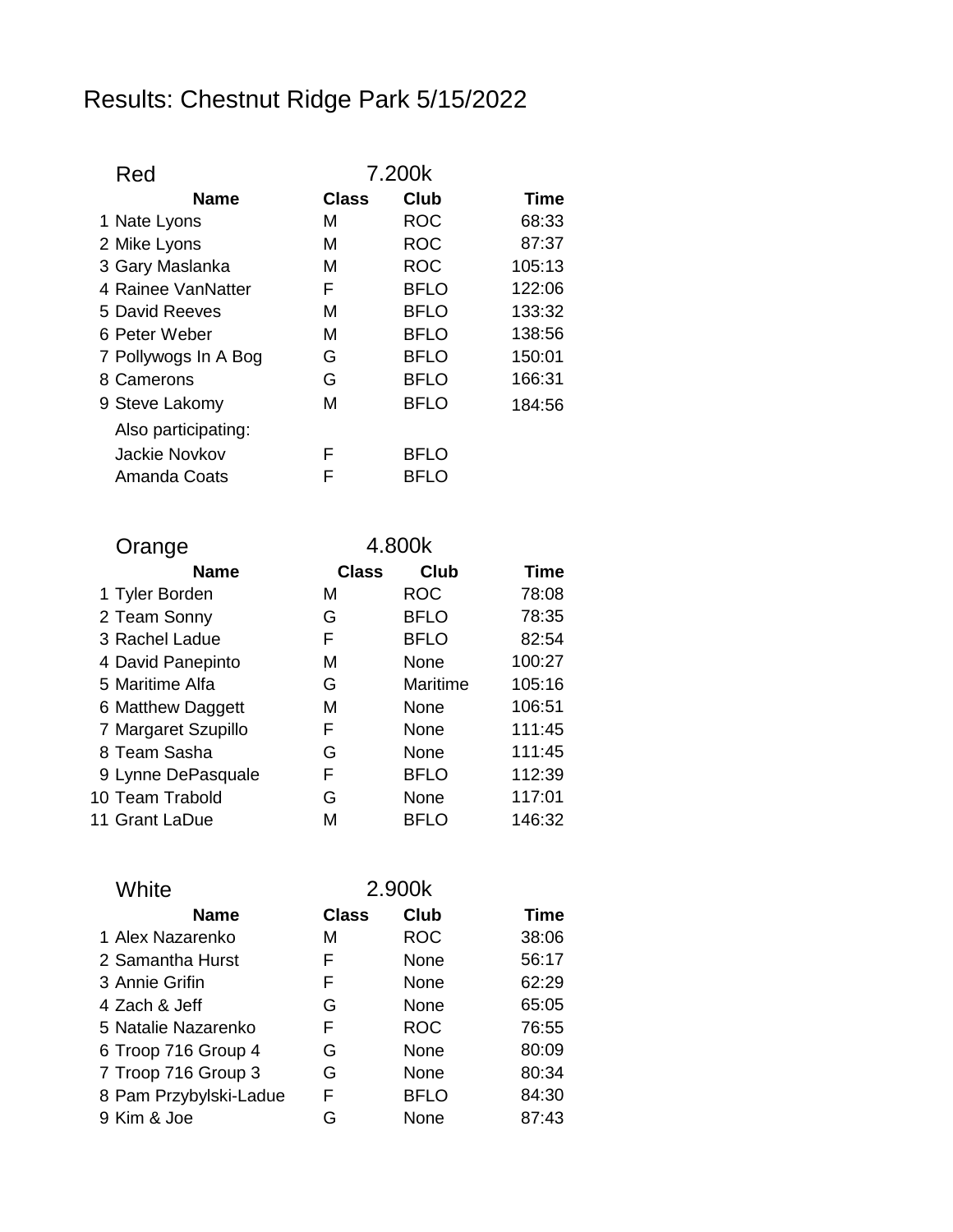## Results: Chestnut Ridge Park 5/15/2022

| Red                  | 7.200k |             |             |
|----------------------|--------|-------------|-------------|
| <b>Name</b>          | Class  | Club        | <b>Time</b> |
| 1 Nate Lyons         | м      | <b>ROC</b>  | 68:33       |
| 2 Mike Lyons         | м      | <b>ROC</b>  | 87:37       |
| 3 Gary Maslanka      | м      | <b>ROC</b>  | 105:13      |
| 4 Rainee VanNatter   | F      | <b>BFLO</b> | 122:06      |
| 5 David Reeves       | м      | <b>BFLO</b> | 133:32      |
| 6 Peter Weber        | м      | <b>BFLO</b> | 138:56      |
| 7 Pollywogs In A Bog | G      | <b>BFLO</b> | 150:01      |
| 8 Camerons           | G      | <b>BFLO</b> | 166:31      |
| 9 Steve Lakomy       | м      | <b>BFLO</b> | 184:56      |
| Also participating:  |        |             |             |
| Jackie Novkov        | F      | <b>BFLO</b> |             |
| Amanda Coats         | F      | BFLO        |             |

| Orange              |             | 4.800k       |             |             |
|---------------------|-------------|--------------|-------------|-------------|
|                     | <b>Name</b> | <b>Class</b> | <b>Club</b> | <b>Time</b> |
| 1 Tyler Borden      |             | м            | <b>ROC</b>  | 78:08       |
| 2 Team Sonny        |             | G            | <b>BFLO</b> | 78:35       |
| 3 Rachel Ladue      |             | F            | <b>BFLO</b> | 82:54       |
| 4 David Panepinto   |             | M            | None        | 100:27      |
| 5 Maritime Alfa     |             | G            | Maritime    | 105:16      |
| 6 Matthew Daggett   |             | M            | None        | 106:51      |
| 7 Margaret Szupillo |             | F            | None        | 111:45      |
| 8 Team Sasha        |             | G            | None        | 111:45      |
| 9 Lynne DePasquale  |             | F            | <b>BFLO</b> | 112:39      |
| 10 Team Trabold     |             | G            | None        | 117:01      |
| 11 Grant LaDue      |             | М            | <b>BFLO</b> | 146:32      |

| White                  | 2.900k       |             |       |
|------------------------|--------------|-------------|-------|
| <b>Name</b>            | <b>Class</b> | Club        | Time  |
| 1 Alex Nazarenko       | м            | <b>ROC</b>  | 38:06 |
| 2 Samantha Hurst       | F            | None        | 56:17 |
| 3 Annie Grifin         | F            | None        | 62:29 |
| 4 Zach & Jeff          | G            | None        | 65:05 |
| 5 Natalie Nazarenko    | F            | <b>ROC</b>  | 76:55 |
| 6 Troop 716 Group 4    | G            | None        | 80:09 |
| 7 Troop 716 Group 3    | G            | None        | 80:34 |
| 8 Pam Przybylski-Ladue | F            | <b>BFLO</b> | 84:30 |
| 9 Kim & Joe            | G            | None        | 87:43 |